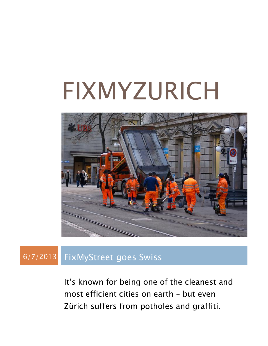# FIXMYZURICH



#### 6/7/2013 FixMyStreet goes Swiss

It's known for being one of the cleanest and most efficient cities on earth – but even Zürich suffers from potholes and graffiti.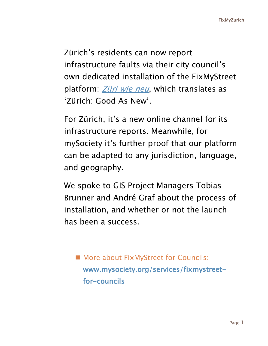Zürich's residents can now report infrastructure faults via their city council's own dedicated installation of the FixMyStreet platform: **[Züri wie neu](https://www.zueriwieneu.ch/)**, which translates as 'Zürich: Good As New'.

For Zürich, it's a new online channel for its infrastructure reports. Meanwhile, for mySociety it's further proof that our platform can be adapted to any jurisdiction, language, and geography.

We spoke to GIS Project Managers Tobias Brunner and André Graf about the process of installation, and whether or not the launch has been a success.

**More about FixMyStreet for Councils:** www.mysociety.org/services/fixmystreetfor-councils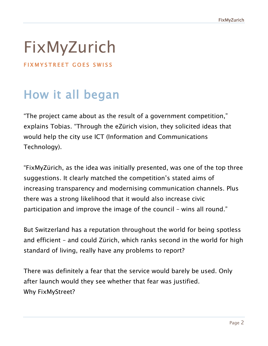## FixMyZurich

FIXMYSTREET GOES SWISS

#### How it all began

"The project came about as the result of a government competition," explains Tobias. "Through the eZürich vision, they solicited ideas that would help the city use ICT (Information and Communications Technology).

"FixMyZürich, as the idea was initially presented, was one of the top three suggestions. It clearly matched the competition's stated aims of increasing transparency and modernising communication channels. Plus there was a strong likelihood that it would also increase civic participation and improve the image of the council – wins all round."

But Switzerland has a reputation throughout the world for being spotless and efficient – and could Zürich, which ranks second in the world for high standard of living, really have any problems to report?

There was definitely a fear that the service would barely be used. Only after launch would they see whether that fear was justified. Why FixMyStreet?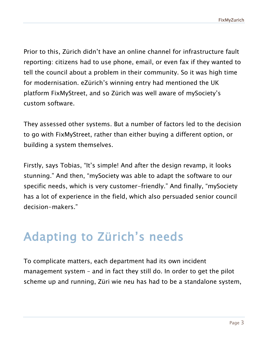Prior to this, Zürich didn't have an online channel for infrastructure fault reporting: citizens had to use phone, email, or even fax if they wanted to tell the council about a problem in their community. So it was high time for modernisation. eZürich's winning entry had mentioned the UK platform FixMyStreet, and so Zürich was well aware of mySociety's custom software.

They assessed other systems. But a number of factors led to the decision to go with FixMyStreet, rather than either buying a different option, or building a system themselves.

Firstly, says Tobias, "It's simple! And after the design revamp, it looks stunning." And then, "mySociety was able to adapt the software to our specific needs, which is very customer-friendly." And finally, "mySociety has a lot of experience in the field, which also persuaded senior council decision-makers."

#### Adapting to Zürich's needs

To complicate matters, each department had its own incident management system – and in fact they still do. In order to get the pilot scheme up and running, Züri wie neu has had to be a standalone system,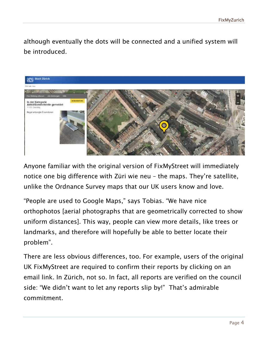although eventually the dots will be connected and a unified system will be introduced.



Anyone familiar with the original version of FixMyStreet will immediately notice one big difference with Züri wie neu – the maps. They're satellite, unlike the Ordnance Survey maps that our UK users know and love.

"People are used to Google Maps," says Tobias. "We have nice orthophotos [aerial photographs that are geometrically corrected to show uniform distances]. This way, people can view more details, like trees or landmarks, and therefore will hopefully be able to better locate their problem".

There are less obvious differences, too. For example, users of the original UK FixMyStreet are required to confirm their reports by clicking on an email link. In Zürich, not so. In fact, all reports are verified on the council side: "We didn't want to let any reports slip by!" That's admirable commitment.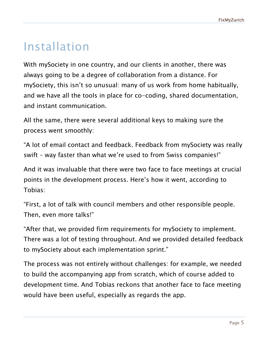#### Installation

With mySociety in one country, and our clients in another, there was always going to be a degree of collaboration from a distance. For mySociety, this isn't so unusual: many of us work from home habitually, and we have all the tools in place for co-coding, shared documentation, and instant communication.

All the same, there were several additional keys to making sure the process went smoothly:

"A lot of email contact and feedback. Feedback from mySociety was really swift – way faster than what we're used to from Swiss companies!"

And it was invaluable that there were two face to face meetings at crucial points in the development process. Here's how it went, according to Tobias:

"First, a lot of talk with council members and other responsible people. Then, even more talks!"

"After that, we provided firm requirements for mySociety to implement. There was a lot of testing throughout. And we provided detailed feedback to mySociety about each implementation sprint."

The process was not entirely without challenges: for example, we needed to build the accompanying app from scratch, which of course added to development time. And Tobias reckons that another face to face meeting would have been useful, especially as regards the app.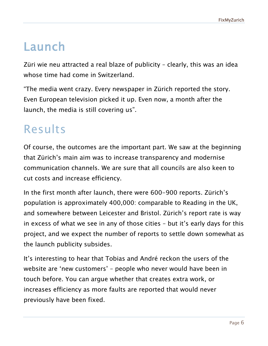#### Launch

Züri wie neu attracted a real blaze of publicity – clearly, this was an idea whose time had come in Switzerland.

"The media went crazy. Every newspaper in Zürich reported the story. Even European television picked it up. Even now, a month after the launch, the media is still covering us".

#### Results

Of course, the outcomes are the important part. We saw at the beginning that Zürich's main aim was to increase transparency and modernise communication channels. We are sure that all councils are also keen to cut costs and increase efficiency.

In the first month after launch, there were 600-900 reports. Zürich's population is approximately 400,000: comparable to Reading in the UK, and somewhere between Leicester and Bristol. Zürich's report rate is way in excess of what we see in any of those cities – but it's early days for this project, and we expect the number of reports to settle down somewhat as the launch publicity subsides.

It's interesting to hear that Tobias and André reckon the users of the website are 'new customers' – people who never would have been in touch before. You can argue whether that creates extra work, or increases efficiency as more faults are reported that would never previously have been fixed.